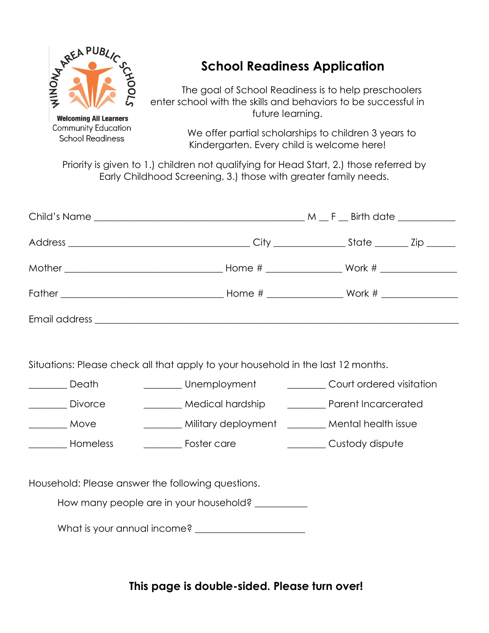

**Community Education School Readiness** 

## **School Readiness Application**

The goal of School Readiness is to help preschoolers enter school with the skills and behaviors to be successful in future learning.

> We offer partial scholarships to children 3 years to Kindergarten. Every child is welcome here!

Priority is given to 1.) children not qualifying for Head Start, 2.) those referred by Early Childhood Screening, 3.) those with greater family needs.

| Situations: Please check all that apply to your household in the last 12 months. |  |                                                                     |  |  |
|----------------------------------------------------------------------------------|--|---------------------------------------------------------------------|--|--|
| <b>No. 2.1 Death</b>                                                             |  | Unemployment __________ Court ordered visitation                    |  |  |
| <u>Nivorce</u>                                                                   |  | Medical hardship __________ Parent Incarcerated                     |  |  |
| ________ Move                                                                    |  | Mental health issue Military deployment _______ Mental health issue |  |  |
| ____________ Homeless<br>_____________ Foster care                               |  | <b>Example 2016</b> Custody dispute                                 |  |  |
|                                                                                  |  |                                                                     |  |  |
| Household: Please answer the following questions.                                |  |                                                                     |  |  |
| How many people are in your household? ____________                              |  |                                                                     |  |  |
|                                                                                  |  |                                                                     |  |  |

**This page is double-sided. Please turn over!**